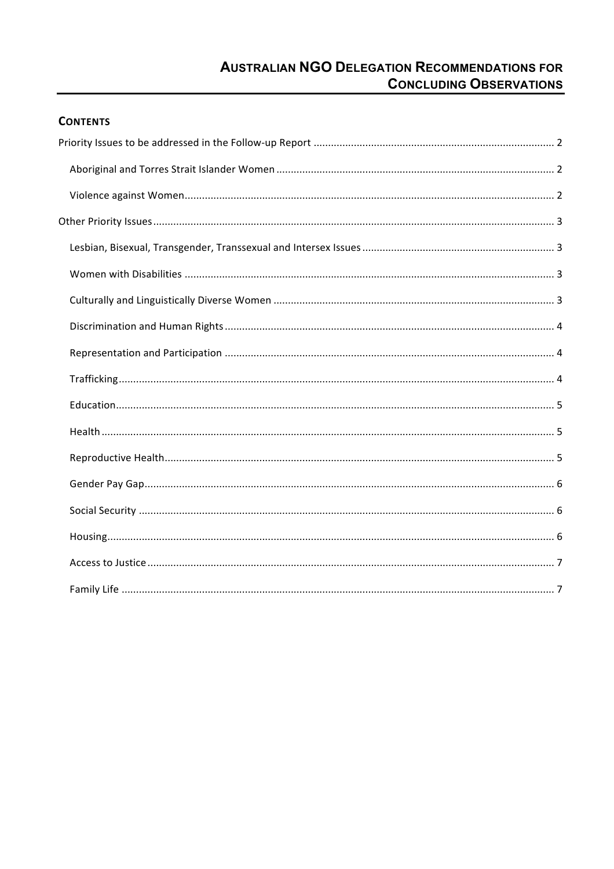# **AUSTRALIAN NGO DELEGATION RECOMMENDATIONS FOR CONCLUDING OBSERVATIONS**

# **CONTENTS**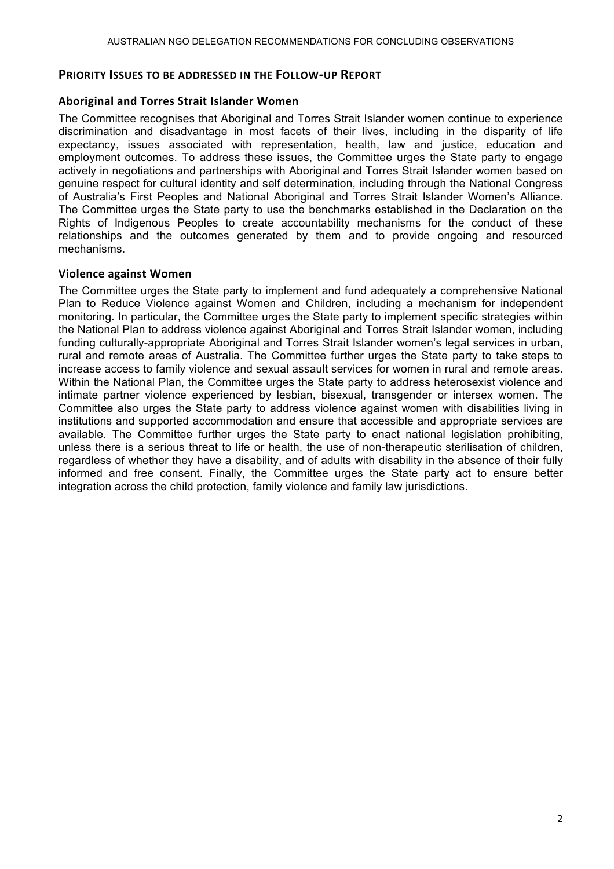# **PRIORITY ISSUES TO BE ADDRESSED IN THE FOLLOW-UP REPORT**

# Aboriginal and Torres Strait Islander Women

The Committee recognises that Aboriginal and Torres Strait Islander women continue to experience discrimination and disadvantage in most facets of their lives, including in the disparity of life expectancy, issues associated with representation, health, law and justice, education and employment outcomes. To address these issues, the Committee urges the State party to engage actively in negotiations and partnerships with Aboriginal and Torres Strait Islander women based on genuine respect for cultural identity and self determination, including through the National Congress of Australia's First Peoples and National Aboriginal and Torres Strait Islander Women's Alliance. The Committee urges the State party to use the benchmarks established in the Declaration on the Rights of Indigenous Peoples to create accountability mechanisms for the conduct of these relationships and the outcomes generated by them and to provide ongoing and resourced mechanisms.

#### **Violence'against'Women**

The Committee urges the State party to implement and fund adequately a comprehensive National Plan to Reduce Violence against Women and Children, including a mechanism for independent monitoring. In particular, the Committee urges the State party to implement specific strategies within the National Plan to address violence against Aboriginal and Torres Strait Islander women, including funding culturally-appropriate Aboriginal and Torres Strait Islander women's legal services in urban, rural and remote areas of Australia. The Committee further urges the State party to take steps to increase access to family violence and sexual assault services for women in rural and remote areas. Within the National Plan, the Committee urges the State party to address heterosexist violence and intimate partner violence experienced by lesbian, bisexual, transgender or intersex women. The Committee also urges the State party to address violence against women with disabilities living in institutions and supported accommodation and ensure that accessible and appropriate services are available. The Committee further urges the State party to enact national legislation prohibiting, unless there is a serious threat to life or health, the use of non-therapeutic sterilisation of children, regardless of whether they have a disability, and of adults with disability in the absence of their fully informed and free consent. Finally, the Committee urges the State party act to ensure better integration across the child protection, family violence and family law jurisdictions.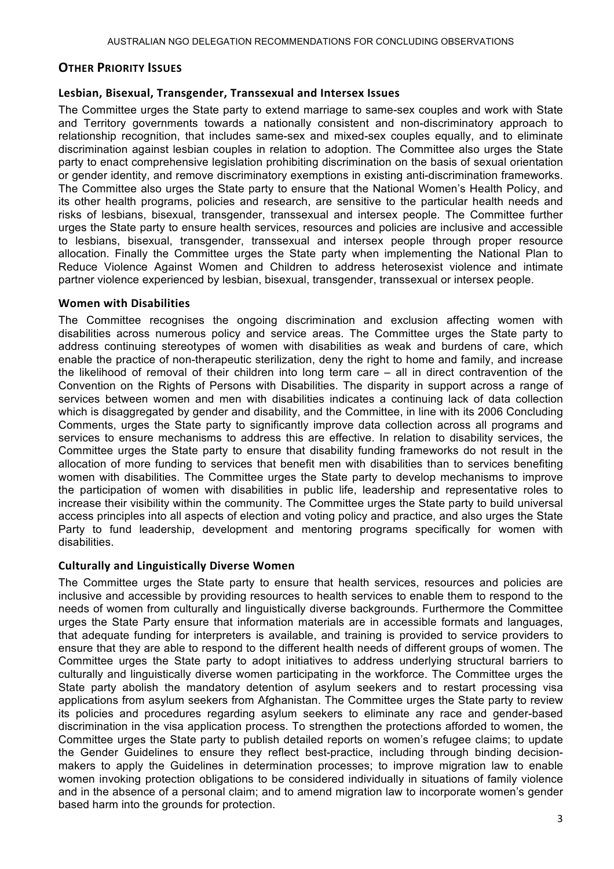# **OTHER PRIORITY ISSUES**

# Lesbian, Bisexual, Transgender, Transsexual and Intersex Issues

The Committee urges the State party to extend marriage to same-sex couples and work with State and Territory governments towards a nationally consistent and non-discriminatory approach to relationship recognition, that includes same-sex and mixed-sex couples equally, and to eliminate discrimination against lesbian couples in relation to adoption. The Committee also urges the State party to enact comprehensive legislation prohibiting discrimination on the basis of sexual orientation or gender identity, and remove discriminatory exemptions in existing anti-discrimination frameworks. The Committee also urges the State party to ensure that the National Women's Health Policy, and its other health programs, policies and research, are sensitive to the particular health needs and risks of lesbians, bisexual, transgender, transsexual and intersex people. The Committee further urges the State party to ensure health services, resources and policies are inclusive and accessible to lesbians, bisexual, transgender, transsexual and intersex people through proper resource allocation. Finally the Committee urges the State party when implementing the National Plan to Reduce Violence Against Women and Children to address heterosexist violence and intimate partner violence experienced by lesbian, bisexual, transgender, transsexual or intersex people.

# **Women with Disabilities**

The Committee recognises the ongoing discrimination and exclusion affecting women with disabilities across numerous policy and service areas. The Committee urges the State party to address continuing stereotypes of women with disabilities as weak and burdens of care, which enable the practice of non-therapeutic sterilization, deny the right to home and family, and increase the likelihood of removal of their children into long term care – all in direct contravention of the Convention on the Rights of Persons with Disabilities. The disparity in support across a range of services between women and men with disabilities indicates a continuing lack of data collection which is disaggregated by gender and disability, and the Committee, in line with its 2006 Concluding Comments, urges the State party to significantly improve data collection across all programs and services to ensure mechanisms to address this are effective. In relation to disability services, the Committee urges the State party to ensure that disability funding frameworks do not result in the allocation of more funding to services that benefit men with disabilities than to services benefiting women with disabilities. The Committee urges the State party to develop mechanisms to improve the participation of women with disabilities in public life, leadership and representative roles to increase their visibility within the community. The Committee urges the State party to build universal access principles into all aspects of election and voting policy and practice, and also urges the State Party to fund leadership, development and mentoring programs specifically for women with disabilities.

# **Culturally'and'Linguistically'Diverse'Women**

The Committee urges the State party to ensure that health services, resources and policies are inclusive and accessible by providing resources to health services to enable them to respond to the needs of women from culturally and linguistically diverse backgrounds. Furthermore the Committee urges the State Party ensure that information materials are in accessible formats and languages, that adequate funding for interpreters is available, and training is provided to service providers to ensure that they are able to respond to the different health needs of different groups of women. The Committee urges the State party to adopt initiatives to address underlying structural barriers to culturally and linguistically diverse women participating in the workforce. The Committee urges the State party abolish the mandatory detention of asylum seekers and to restart processing visa applications from asylum seekers from Afghanistan. The Committee urges the State party to review its policies and procedures regarding asylum seekers to eliminate any race and gender-based discrimination in the visa application process. To strengthen the protections afforded to women, the Committee urges the State party to publish detailed reports on women's refugee claims; to update the Gender Guidelines to ensure they reflect best-practice, including through binding decisionmakers to apply the Guidelines in determination processes; to improve migration law to enable women invoking protection obligations to be considered individually in situations of family violence and in the absence of a personal claim; and to amend migration law to incorporate women's gender based harm into the grounds for protection.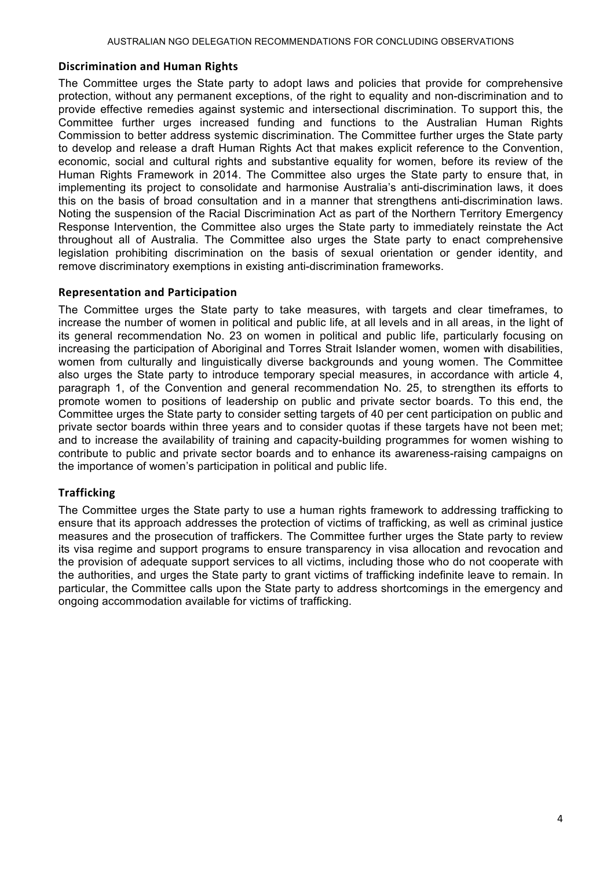#### **Discrimination'and'Human'Rights**

The Committee urges the State party to adopt laws and policies that provide for comprehensive protection, without any permanent exceptions, of the right to equality and non-discrimination and to provide effective remedies against systemic and intersectional discrimination. To support this, the Committee further urges increased funding and functions to the Australian Human Rights Commission to better address systemic discrimination. The Committee further urges the State party to develop and release a draft Human Rights Act that makes explicit reference to the Convention, economic, social and cultural rights and substantive equality for women, before its review of the Human Rights Framework in 2014. The Committee also urges the State party to ensure that, in implementing its project to consolidate and harmonise Australia's anti-discrimination laws, it does this on the basis of broad consultation and in a manner that strengthens anti-discrimination laws. Noting the suspension of the Racial Discrimination Act as part of the Northern Territory Emergency Response Intervention, the Committee also urges the State party to immediately reinstate the Act throughout all of Australia. The Committee also urges the State party to enact comprehensive legislation prohibiting discrimination on the basis of sexual orientation or gender identity, and remove discriminatory exemptions in existing anti-discrimination frameworks.

#### **Representation'and'Participation**

The Committee urges the State party to take measures, with targets and clear timeframes, to increase the number of women in political and public life, at all levels and in all areas, in the light of its general recommendation No. 23 on women in political and public life, particularly focusing on increasing the participation of Aboriginal and Torres Strait Islander women, women with disabilities, women from culturally and linguistically diverse backgrounds and young women. The Committee also urges the State party to introduce temporary special measures, in accordance with article 4, paragraph 1, of the Convention and general recommendation No. 25, to strengthen its efforts to promote women to positions of leadership on public and private sector boards. To this end, the Committee urges the State party to consider setting targets of 40 per cent participation on public and private sector boards within three years and to consider quotas if these targets have not been met; and to increase the availability of training and capacity-building programmes for women wishing to contribute to public and private sector boards and to enhance its awareness-raising campaigns on the importance of women's participation in political and public life.

# **Trafficking**

The Committee urges the State party to use a human rights framework to addressing trafficking to ensure that its approach addresses the protection of victims of trafficking, as well as criminal justice measures and the prosecution of traffickers. The Committee further urges the State party to review its visa regime and support programs to ensure transparency in visa allocation and revocation and the provision of adequate support services to all victims, including those who do not cooperate with the authorities, and urges the State party to grant victims of trafficking indefinite leave to remain. In particular, the Committee calls upon the State party to address shortcomings in the emergency and ongoing accommodation available for victims of trafficking.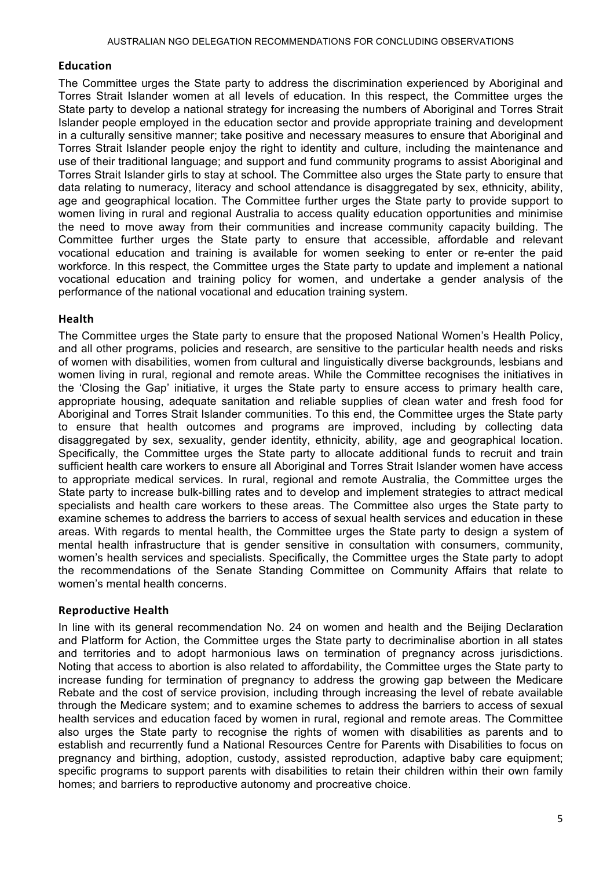#### **Education**

The Committee urges the State party to address the discrimination experienced by Aboriginal and Torres Strait Islander women at all levels of education. In this respect, the Committee urges the State party to develop a national strategy for increasing the numbers of Aboriginal and Torres Strait Islander people employed in the education sector and provide appropriate training and development in a culturally sensitive manner; take positive and necessary measures to ensure that Aboriginal and Torres Strait Islander people enjoy the right to identity and culture, including the maintenance and use of their traditional language; and support and fund community programs to assist Aboriginal and Torres Strait Islander girls to stay at school. The Committee also urges the State party to ensure that data relating to numeracy, literacy and school attendance is disaggregated by sex, ethnicity, ability, age and geographical location. The Committee further urges the State party to provide support to women living in rural and regional Australia to access quality education opportunities and minimise the need to move away from their communities and increase community capacity building. The Committee further urges the State party to ensure that accessible, affordable and relevant vocational education and training is available for women seeking to enter or re-enter the paid workforce. In this respect, the Committee urges the State party to update and implement a national vocational education and training policy for women, and undertake a gender analysis of the performance of the national vocational and education training system.

#### **Health**

The Committee urges the State party to ensure that the proposed National Women's Health Policy, and all other programs, policies and research, are sensitive to the particular health needs and risks of women with disabilities, women from cultural and linguistically diverse backgrounds, lesbians and women living in rural, regional and remote areas. While the Committee recognises the initiatives in the 'Closing the Gap' initiative, it urges the State party to ensure access to primary health care, appropriate housing, adequate sanitation and reliable supplies of clean water and fresh food for Aboriginal and Torres Strait Islander communities. To this end, the Committee urges the State party to ensure that health outcomes and programs are improved, including by collecting data disaggregated by sex, sexuality, gender identity, ethnicity, ability, age and geographical location. Specifically, the Committee urges the State party to allocate additional funds to recruit and train sufficient health care workers to ensure all Aboriginal and Torres Strait Islander women have access to appropriate medical services. In rural, regional and remote Australia, the Committee urges the State party to increase bulk-billing rates and to develop and implement strategies to attract medical specialists and health care workers to these areas. The Committee also urges the State party to examine schemes to address the barriers to access of sexual health services and education in these areas. With regards to mental health, the Committee urges the State party to design a system of mental health infrastructure that is gender sensitive in consultation with consumers, community, women's health services and specialists. Specifically, the Committee urges the State party to adopt the recommendations of the Senate Standing Committee on Community Affairs that relate to women's mental health concerns.

#### **Reproductive'Health**

In line with its general recommendation No. 24 on women and health and the Beijing Declaration and Platform for Action, the Committee urges the State party to decriminalise abortion in all states and territories and to adopt harmonious laws on termination of pregnancy across jurisdictions. Noting that access to abortion is also related to affordability, the Committee urges the State party to increase funding for termination of pregnancy to address the growing gap between the Medicare Rebate and the cost of service provision, including through increasing the level of rebate available through the Medicare system; and to examine schemes to address the barriers to access of sexual health services and education faced by women in rural, regional and remote areas. The Committee also urges the State party to recognise the rights of women with disabilities as parents and to establish and recurrently fund a National Resources Centre for Parents with Disabilities to focus on pregnancy and birthing, adoption, custody, assisted reproduction, adaptive baby care equipment; specific programs to support parents with disabilities to retain their children within their own family homes; and barriers to reproductive autonomy and procreative choice.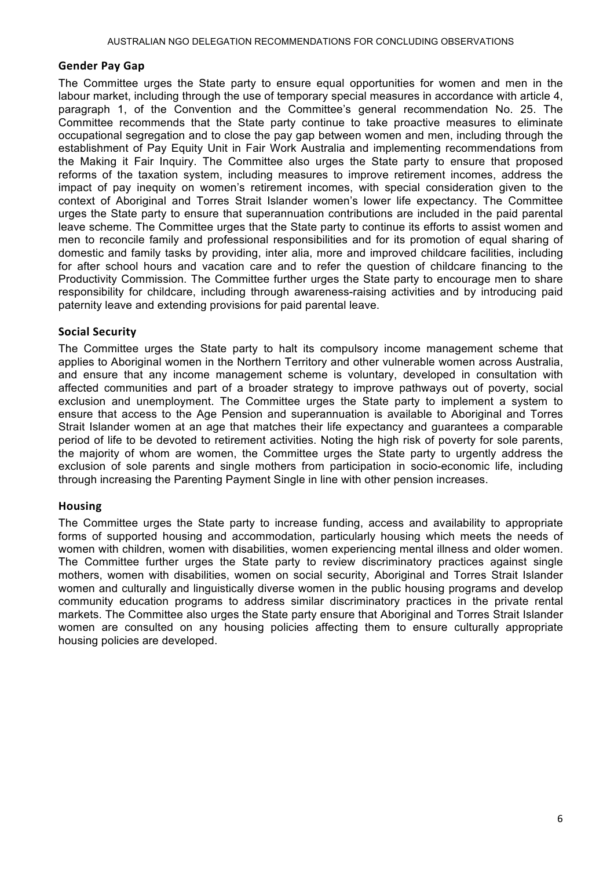#### **Gender'Pay'Gap**

The Committee urges the State party to ensure equal opportunities for women and men in the labour market, including through the use of temporary special measures in accordance with article 4, paragraph 1, of the Convention and the Committee's general recommendation No. 25. The Committee recommends that the State party continue to take proactive measures to eliminate occupational segregation and to close the pay gap between women and men, including through the establishment of Pay Equity Unit in Fair Work Australia and implementing recommendations from the Making it Fair Inquiry. The Committee also urges the State party to ensure that proposed reforms of the taxation system, including measures to improve retirement incomes, address the impact of pay inequity on women's retirement incomes, with special consideration given to the context of Aboriginal and Torres Strait Islander women's lower life expectancy. The Committee urges the State party to ensure that superannuation contributions are included in the paid parental leave scheme. The Committee urges that the State party to continue its efforts to assist women and men to reconcile family and professional responsibilities and for its promotion of equal sharing of domestic and family tasks by providing, inter alia, more and improved childcare facilities, including for after school hours and vacation care and to refer the question of childcare financing to the Productivity Commission. The Committee further urges the State party to encourage men to share responsibility for childcare, including through awareness-raising activities and by introducing paid paternity leave and extending provisions for paid parental leave.

#### **Social Security**

The Committee urges the State party to halt its compulsory income management scheme that applies to Aboriginal women in the Northern Territory and other vulnerable women across Australia, and ensure that any income management scheme is voluntary, developed in consultation with affected communities and part of a broader strategy to improve pathways out of poverty, social exclusion and unemployment. The Committee urges the State party to implement a system to ensure that access to the Age Pension and superannuation is available to Aboriginal and Torres Strait Islander women at an age that matches their life expectancy and guarantees a comparable period of life to be devoted to retirement activities. Noting the high risk of poverty for sole parents, the majority of whom are women, the Committee urges the State party to urgently address the exclusion of sole parents and single mothers from participation in socio-economic life, including through increasing the Parenting Payment Single in line with other pension increases.

#### **Housing**

The Committee urges the State party to increase funding, access and availability to appropriate forms of supported housing and accommodation, particularly housing which meets the needs of women with children, women with disabilities, women experiencing mental illness and older women. The Committee further urges the State party to review discriminatory practices against single mothers, women with disabilities, women on social security, Aboriginal and Torres Strait Islander women and culturally and linguistically diverse women in the public housing programs and develop community education programs to address similar discriminatory practices in the private rental markets. The Committee also urges the State party ensure that Aboriginal and Torres Strait Islander women are consulted on any housing policies affecting them to ensure culturally appropriate housing policies are developed.